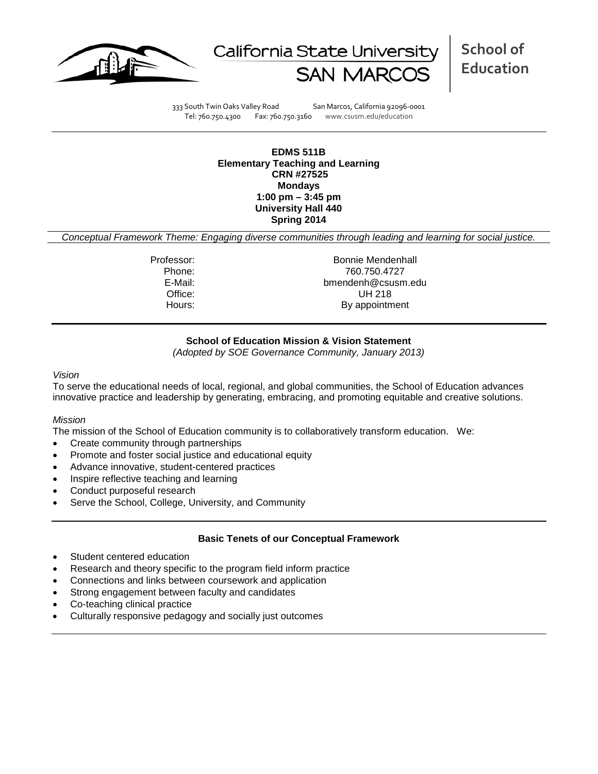



**School of Education**

333 South Twin Oaks Valley Road San Marcos, California 92096-0001 Tel: 760.750.4300 Fax: 760.750.3160 www.csusm.edu/education

**EDMS 511B Elementary Teaching and Learning CRN #27525 Mondays 1:00 pm – 3:45 pm University Hall 440 Spring 2014** 

*Conceptual Framework Theme: Engaging diverse communities through leading and learning for social justice.*

Professor: Bonnie Mendenhall Phone: 760.750.4727 bmendenh@csusm.edu Office: UH 218 Hours: By appointment

# **School of Education Mission & Vision Statement**

*(Adopted by SOE Governance Community, January 2013)*

#### *Vision*

To serve the educational needs of local, regional, and global communities, the School of Education advances innovative practice and leadership by generating, embracing, and promoting equitable and creative solutions.

#### *Mission*

The mission of the School of Education community is to collaboratively transform education. We:

- Create community through partnerships
- Promote and foster social justice and educational equity
- Advance innovative, student-centered practices
- Inspire reflective teaching and learning
- Conduct purposeful research
- Serve the School, College, University, and Community

#### **Basic Tenets of our Conceptual Framework**

- Student centered education
- Research and theory specific to the program field inform practice
- Connections and links between coursework and application
- Strong engagement between faculty and candidates
- Co-teaching clinical practice
- Culturally responsive pedagogy and socially just outcomes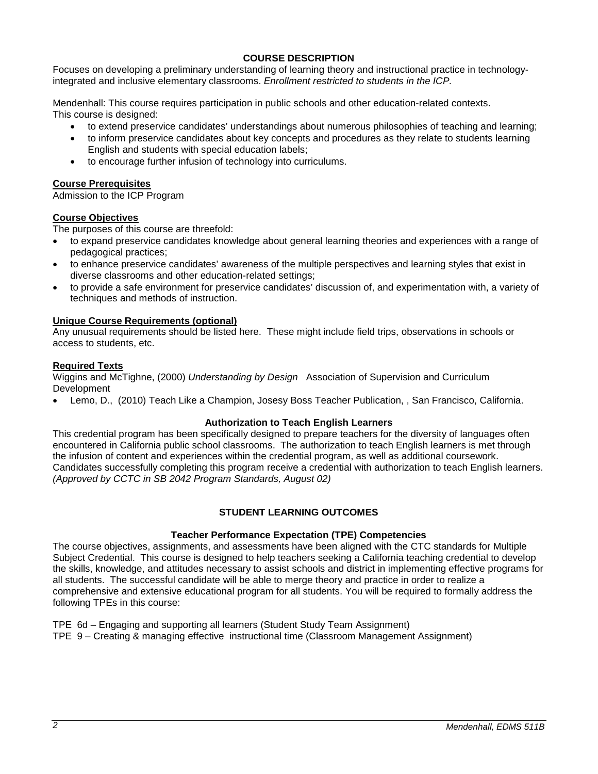# **COURSE DESCRIPTION**

Focuses on developing a preliminary understanding of learning theory and instructional practice in technologyintegrated and inclusive elementary classrooms. *Enrollment restricted to students in the ICP.*

Mendenhall: This course requires participation in public schools and other education-related contexts. This course is designed:

- to extend preservice candidates' understandings about numerous philosophies of teaching and learning;
- to inform preservice candidates about key concepts and procedures as they relate to students learning English and students with special education labels;
- to encourage further infusion of technology into curriculums.

# **Course Prerequisites**

Admission to the ICP Program

# **Course Objectives**

The purposes of this course are threefold:

- to expand preservice candidates knowledge about general learning theories and experiences with a range of pedagogical practices;
- to enhance preservice candidates' awareness of the multiple perspectives and learning styles that exist in diverse classrooms and other education-related settings;
- to provide a safe environment for preservice candidates' discussion of, and experimentation with, a variety of techniques and methods of instruction.

## **Unique Course Requirements (optional)**

Any unusual requirements should be listed here. These might include field trips, observations in schools or access to students, etc.

## **Required Texts**

Wiggins and McTighne, (2000) *Understanding by Design* Association of Supervision and Curriculum Development

• Lemo, D., (2010) Teach Like a Champion, Josesy Boss Teacher Publication, , San Francisco, California.

# **Authorization to Teach English Learners**

This credential program has been specifically designed to prepare teachers for the diversity of languages often encountered in California public school classrooms. The authorization to teach English learners is met through the infusion of content and experiences within the credential program, as well as additional coursework. Candidates successfully completing this program receive a credential with authorization to teach English learners. *(Approved by CCTC in SB 2042 Program Standards, August 02)*

# **STUDENT LEARNING OUTCOMES**

# **Teacher Performance Expectation (TPE) Competencies**

The course objectives, assignments, and assessments have been aligned with the CTC standards for Multiple Subject Credential. This course is designed to help teachers seeking a California teaching credential to develop the skills, knowledge, and attitudes necessary to assist schools and district in implementing effective programs for all students. The successful candidate will be able to merge theory and practice in order to realize a comprehensive and extensive educational program for all students. You will be required to formally address the following TPEs in this course:

TPE 6d – Engaging and supporting all learners (Student Study Team Assignment) TPE 9 – Creating & managing effective instructional time (Classroom Management Assignment)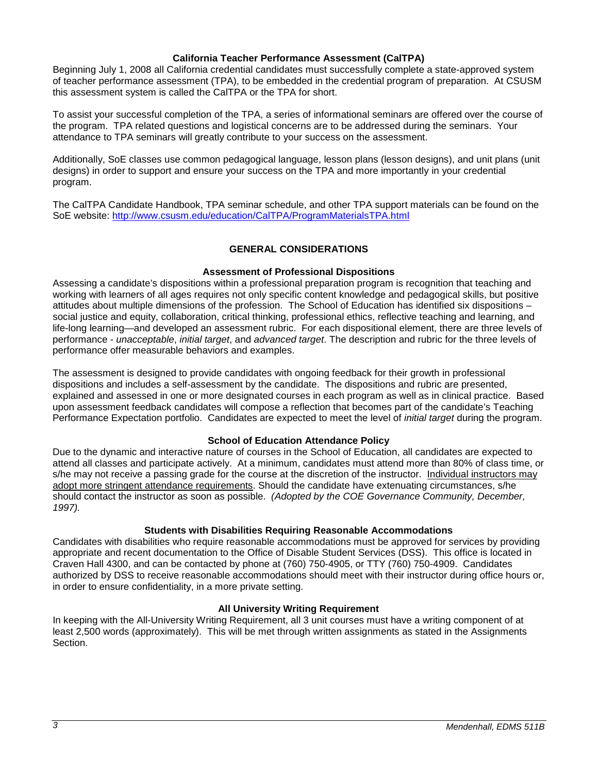#### **California Teacher Performance Assessment (CalTPA)**

Beginning July 1, 2008 all California credential candidates must successfully complete a state-approved system of teacher performance assessment (TPA), to be embedded in the credential program of preparation. At CSUSM this assessment system is called the CalTPA or the TPA for short.

To assist your successful completion of the TPA, a series of informational seminars are offered over the course of the program. TPA related questions and logistical concerns are to be addressed during the seminars. Your attendance to TPA seminars will greatly contribute to your success on the assessment.

Additionally, SoE classes use common pedagogical language, lesson plans (lesson designs), and unit plans (unit designs) in order to support and ensure your success on the TPA and more importantly in your credential program.

The CalTPA Candidate Handbook, TPA seminar schedule, and other TPA support materials can be found on the SoE website: <http://www.csusm.edu/education/CalTPA/ProgramMaterialsTPA.html>

## **GENERAL CONSIDERATIONS**

#### **Assessment of Professional Dispositions**

Assessing a candidate's dispositions within a professional preparation program is recognition that teaching and working with learners of all ages requires not only specific content knowledge and pedagogical skills, but positive attitudes about multiple dimensions of the profession. The School of Education has identified six dispositions – social justice and equity, collaboration, critical thinking, professional ethics, reflective teaching and learning, and life-long learning—and developed an assessment rubric. For each dispositional element, there are three levels of performance - *unacceptable*, *initial target*, and *advanced target*. The description and rubric for the three levels of performance offer measurable behaviors and examples.

The assessment is designed to provide candidates with ongoing feedback for their growth in professional dispositions and includes a self-assessment by the candidate. The dispositions and rubric are presented, explained and assessed in one or more designated courses in each program as well as in clinical practice. Based upon assessment feedback candidates will compose a reflection that becomes part of the candidate's Teaching Performance Expectation portfolio. Candidates are expected to meet the level of *initial target* during the program.

#### **School of Education Attendance Policy**

Due to the dynamic and interactive nature of courses in the School of Education, all candidates are expected to attend all classes and participate actively. At a minimum, candidates must attend more than 80% of class time, or s/he may not receive a passing grade for the course at the discretion of the instructor. Individual instructors may adopt more stringent attendance requirements. Should the candidate have extenuating circumstances, s/he should contact the instructor as soon as possible. *(Adopted by the COE Governance Community, December, 1997).*

#### **Students with Disabilities Requiring Reasonable Accommodations**

Candidates with disabilities who require reasonable accommodations must be approved for services by providing appropriate and recent documentation to the Office of Disable Student Services (DSS). This office is located in Craven Hall 4300, and can be contacted by phone at (760) 750-4905, or TTY (760) 750-4909. Candidates authorized by DSS to receive reasonable accommodations should meet with their instructor during office hours or, in order to ensure confidentiality, in a more private setting.

### **All University Writing Requirement**

In keeping with the All-University Writing Requirement, all 3 unit courses must have a writing component of at least 2,500 words (approximately). This will be met through written assignments as stated in the Assignments Section.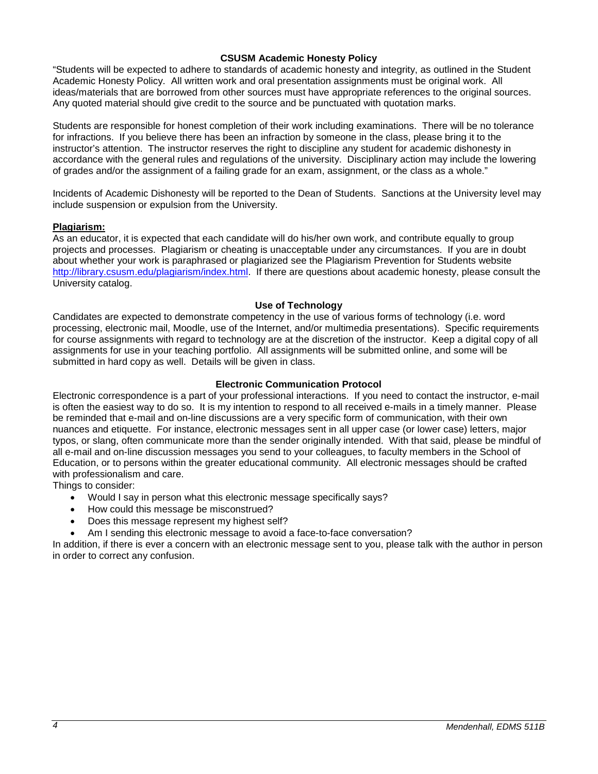### **CSUSM Academic Honesty Policy**

"Students will be expected to adhere to standards of academic honesty and integrity, as outlined in the Student Academic Honesty Policy. All written work and oral presentation assignments must be original work. All ideas/materials that are borrowed from other sources must have appropriate references to the original sources. Any quoted material should give credit to the source and be punctuated with quotation marks.

Students are responsible for honest completion of their work including examinations. There will be no tolerance for infractions. If you believe there has been an infraction by someone in the class, please bring it to the instructor's attention. The instructor reserves the right to discipline any student for academic dishonesty in accordance with the general rules and regulations of the university. Disciplinary action may include the lowering of grades and/or the assignment of a failing grade for an exam, assignment, or the class as a whole."

Incidents of Academic Dishonesty will be reported to the Dean of Students. Sanctions at the University level may include suspension or expulsion from the University.

## **Plagiarism:**

As an educator, it is expected that each candidate will do his/her own work, and contribute equally to group projects and processes. Plagiarism or cheating is unacceptable under any circumstances. If you are in doubt about whether your work is paraphrased or plagiarized see the Plagiarism Prevention for Students website [http://library.csusm.edu/plagiarism/index.html.](http://library.csusm.edu/plagiarism/index.html) If there are questions about academic honesty, please consult the University catalog.

#### **Use of Technology**

Candidates are expected to demonstrate competency in the use of various forms of technology (i.e. word processing, electronic mail, Moodle, use of the Internet, and/or multimedia presentations). Specific requirements for course assignments with regard to technology are at the discretion of the instructor. Keep a digital copy of all assignments for use in your teaching portfolio. All assignments will be submitted online, and some will be submitted in hard copy as well. Details will be given in class.

## **Electronic Communication Protocol**

Electronic correspondence is a part of your professional interactions. If you need to contact the instructor, e-mail is often the easiest way to do so. It is my intention to respond to all received e-mails in a timely manner. Please be reminded that e-mail and on-line discussions are a very specific form of communication, with their own nuances and etiquette. For instance, electronic messages sent in all upper case (or lower case) letters, major typos, or slang, often communicate more than the sender originally intended. With that said, please be mindful of all e-mail and on-line discussion messages you send to your colleagues, to faculty members in the School of Education, or to persons within the greater educational community. All electronic messages should be crafted with professionalism and care.

Things to consider:

- Would I say in person what this electronic message specifically says?
- How could this message be misconstrued?
- Does this message represent my highest self?
- Am I sending this electronic message to avoid a face-to-face conversation?

In addition, if there is ever a concern with an electronic message sent to you, please talk with the author in person in order to correct any confusion.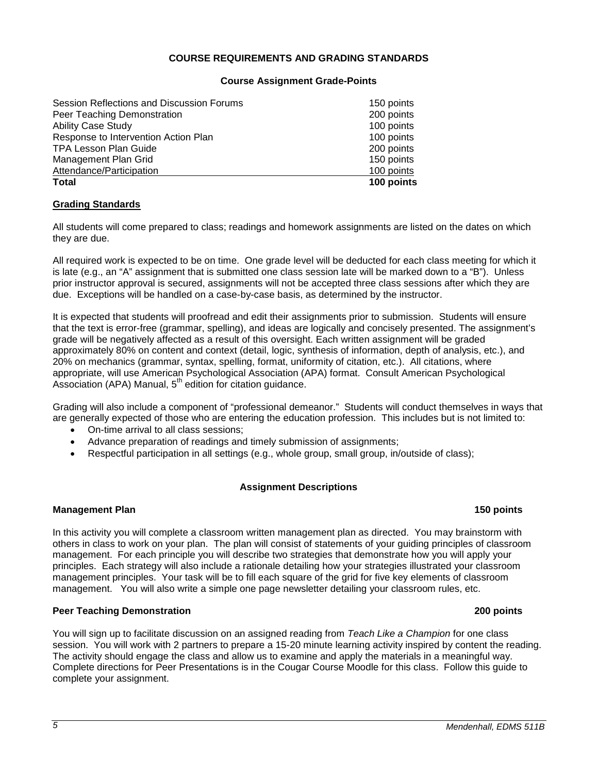## **COURSE REQUIREMENTS AND GRADING STANDARDS**

#### **Course Assignment Grade-Points**

| 100 points |
|------------|
| 100 points |
| 150 points |
| 200 points |
| 100 points |
| 100 points |
| 200 points |
| 150 points |
|            |

## **Grading Standards**

All students will come prepared to class; readings and homework assignments are listed on the dates on which they are due.

All required work is expected to be on time. One grade level will be deducted for each class meeting for which it is late (e.g., an "A" assignment that is submitted one class session late will be marked down to a "B"). Unless prior instructor approval is secured, assignments will not be accepted three class sessions after which they are due. Exceptions will be handled on a case-by-case basis, as determined by the instructor.

It is expected that students will proofread and edit their assignments prior to submission. Students will ensure that the text is error-free (grammar, spelling), and ideas are logically and concisely presented. The assignment's grade will be negatively affected as a result of this oversight. Each written assignment will be graded approximately 80% on content and context (detail, logic, synthesis of information, depth of analysis, etc.), and 20% on mechanics (grammar, syntax, spelling, format, uniformity of citation, etc.). All citations, where appropriate, will use American Psychological Association (APA) format. Consult American Psychological Association (APA) Manual,  $5<sup>th</sup>$  edition for citation guidance.

Grading will also include a component of "professional demeanor." Students will conduct themselves in ways that are generally expected of those who are entering the education profession. This includes but is not limited to:

- On-time arrival to all class sessions;
- Advance preparation of readings and timely submission of assignments;
- Respectful participation in all settings (e.g., whole group, small group, in/outside of class);

### **Assignment Descriptions**

#### **Management Plan 150 points** 150 points 150 points 150 points 150 points 150 points 150 points 150 points 150 points 150 points 150 points 150 points 150 points 150 points 150 points 150 points 150 points 150 points 150 po

In this activity you will complete a classroom written management plan as directed. You may brainstorm with others in class to work on your plan. The plan will consist of statements of your guiding principles of classroom management. For each principle you will describe two strategies that demonstrate how you will apply your principles. Each strategy will also include a rationale detailing how your strategies illustrated your classroom management principles. Your task will be to fill each square of the grid for five key elements of classroom management. You will also write a simple one page newsletter detailing your classroom rules, etc.

# **Peer Teaching Demonstration 200 points**

You will sign up to facilitate discussion on an assigned reading from *Teach Like a Champion* for one class session. You will work with 2 partners to prepare a 15-20 minute learning activity inspired by content the reading. The activity should engage the class and allow us to examine and apply the materials in a meaningful way. Complete directions for Peer Presentations is in the Cougar Course Moodle for this class. Follow this guide to complete your assignment.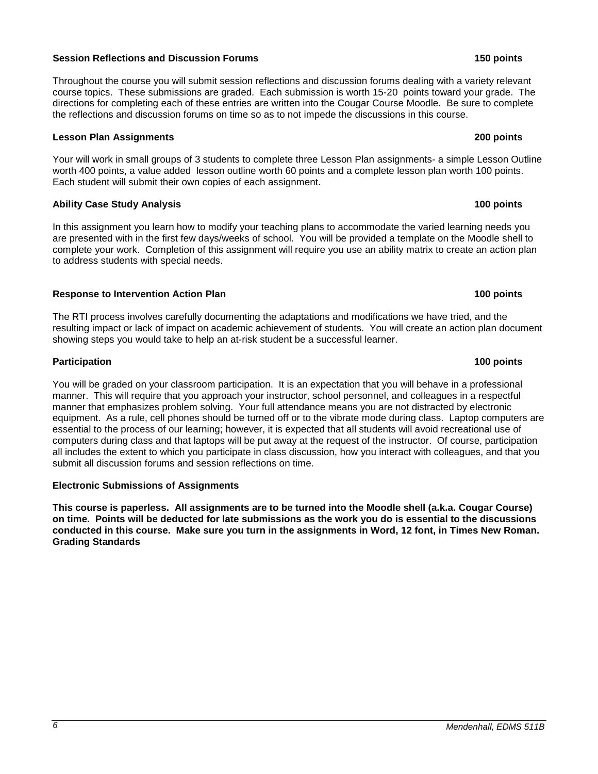#### **Session Reflections and Discussion Forums 150 points**

Throughout the course you will submit session reflections and discussion forums dealing with a variety relevant course topics. These submissions are graded. Each submission is worth 15-20 points toward your grade. The directions for completing each of these entries are written into the Cougar Course Moodle. Be sure to complete the reflections and discussion forums on time so as to not impede the discussions in this course.

## **Lesson Plan Assignments 200 points**

Your will work in small groups of 3 students to complete three Lesson Plan assignments- a simple Lesson Outline worth 400 points, a value added lesson outline worth 60 points and a complete lesson plan worth 100 points. Each student will submit their own copies of each assignment.

# **Ability Case Study Analysis 100 points**

In this assignment you learn how to modify your teaching plans to accommodate the varied learning needs you are presented with in the first few days/weeks of school. You will be provided a template on the Moodle shell to complete your work. Completion of this assignment will require you use an ability matrix to create an action plan to address students with special needs.

# **Response to Intervention Action Plan 100 points**

The RTI process involves carefully documenting the adaptations and modifications we have tried, and the resulting impact or lack of impact on academic achievement of students. You will create an action plan document showing steps you would take to help an at-risk student be a successful learner.

# **Participation 100 points**

You will be graded on your classroom participation. It is an expectation that you will behave in a professional manner. This will require that you approach your instructor, school personnel, and colleagues in a respectful manner that emphasizes problem solving. Your full attendance means you are not distracted by electronic equipment. As a rule, cell phones should be turned off or to the vibrate mode during class. Laptop computers are essential to the process of our learning; however, it is expected that all students will avoid recreational use of computers during class and that laptops will be put away at the request of the instructor. Of course, participation all includes the extent to which you participate in class discussion, how you interact with colleagues, and that you submit all discussion forums and session reflections on time.

# **Electronic Submissions of Assignments**

**This course is paperless. All assignments are to be turned into the Moodle shell (a.k.a. Cougar Course) on time. Points will be deducted for late submissions as the work you do is essential to the discussions conducted in this course. Make sure you turn in the assignments in Word, 12 font, in Times New Roman. Grading Standards**